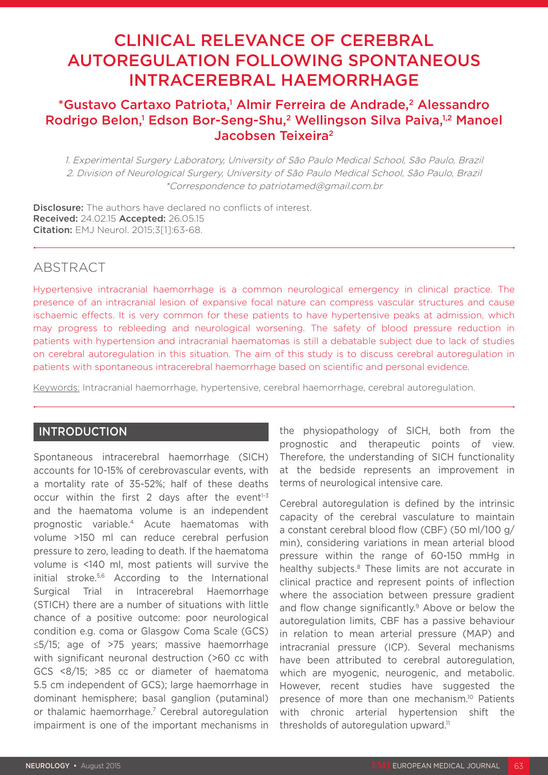# CLINICAL RELEVANCE OF CEREBRAL AUTOREGULATION FOLLOWING SPONTANEOUS INTRACEREBRAL HAEMORRHAGE

# \*Gustavo Cartaxo Patriota,<sup>1</sup> Almir Ferreira de Andrade,<sup>2</sup> Alessandro Rodrigo Belon,<sup>1</sup> Edson Bor-Seng-Shu,<sup>2</sup> Wellingson Silva Paiva,<sup>1,2</sup> Manoel Jacobsen Teixeira2

1. Experimental Surgery Laboratory, University of São Paulo Medical School, São Paulo, Brazil 2. Division of Neurological Surgery, University of São Paulo Medical School, São Paulo, Brazil \*Correspondence to patriotamed@gmail.com.br

Disclosure: The authors have declared no conflicts of interest. Received: 24.02.15 Accepted: 26.05.15 Citation: EMJ Neurol. 2015;3[1]:63-68.

# ABSTRACT

Hypertensive intracranial haemorrhage is a common neurological emergency in clinical practice. The presence of an intracranial lesion of expansive focal nature can compress vascular structures and cause ischaemic effects. It is very common for these patients to have hypertensive peaks at admission, which may progress to rebleeding and neurological worsening. The safety of blood pressure reduction in patients with hypertension and intracranial haematomas is still a debatable subject due to lack of studies on cerebral autoregulation in this situation. The aim of this study is to discuss cerebral autoregulation in patients with spontaneous intracerebral haemorrhage based on scientific and personal evidence.

Keywords: Intracranial haemorrhage, hypertensive, cerebral haemorrhage, cerebral autoregulation.

## INTRODUCTION

Spontaneous intracerebral haemorrhage (SICH) accounts for 10-15% of cerebrovascular events, with a mortality rate of 35-52%; half of these deaths occur within the first 2 days after the event $1-3$ and the haematoma volume is an independent prognostic variable.4 Acute haematomas with volume >150 ml can reduce cerebral perfusion pressure to zero, leading to death. If the haematoma volume is <140 ml, most patients will survive the initial stroke.5,6 According to the International Surgical Trial in Intracerebral Haemorrhage (STICH) there are a number of situations with little chance of a positive outcome: poor neurological condition e.g. coma or Glasgow Coma Scale (GCS) ≤5/15; age of >75 years; massive haemorrhage with significant neuronal destruction (>60 cc with GCS <8/15; >85 cc or diameter of haematoma 5.5 cm independent of GCS); large haemorrhage in dominant hemisphere; basal ganglion (putaminal) or thalamic haemorrhage.<sup>7</sup> Cerebral autoregulation impairment is one of the important mechanisms in

the physiopathology of SICH, both from the prognostic and therapeutic points of view. Therefore, the understanding of SICH functionality at the bedside represents an improvement in terms of neurological intensive care.

Cerebral autoregulation is defined by the intrinsic capacity of the cerebral vasculature to maintain a constant cerebral blood flow (CBF) (50 ml/100 g/ min), considering variations in mean arterial blood pressure within the range of 60-150 mmHg in healthy subjects.<sup>8</sup> These limits are not accurate in clinical practice and represent points of inflection where the association between pressure gradient and flow change significantly.<sup>9</sup> Above or below the autoregulation limits, CBF has a passive behaviour in relation to mean arterial pressure (MAP) and intracranial pressure (ICP). Several mechanisms have been attributed to cerebral autoregulation, which are myogenic, neurogenic, and metabolic. However, recent studies have suggested the presence of more than one mechanism.<sup>10</sup> Patients with chronic arterial hypertension shift the thresholds of autoregulation upward.<sup>11</sup>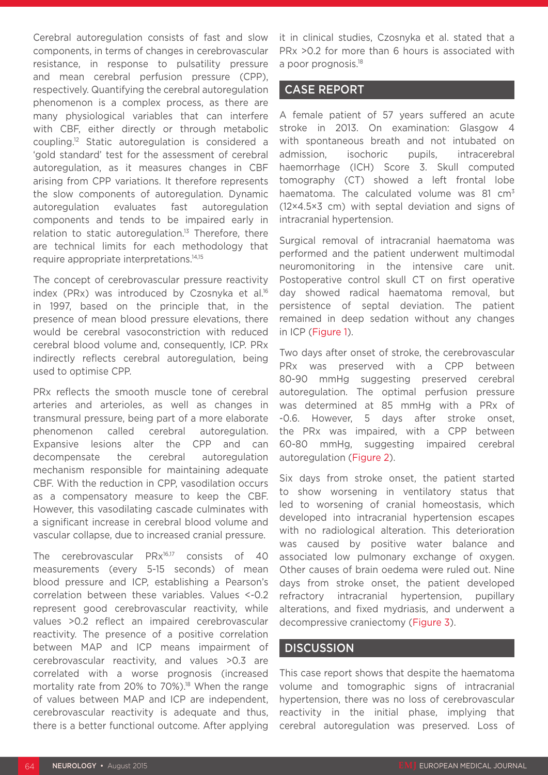Cerebral autoregulation consists of fast and slow components, in terms of changes in cerebrovascular resistance, in response to pulsatility pressure and mean cerebral perfusion pressure (CPP), respectively. Quantifying the cerebral autoregulation phenomenon is a complex process, as there are many physiological variables that can interfere with CBF, either directly or through metabolic coupling.12 Static autoregulation is considered a 'gold standard' test for the assessment of cerebral autoregulation, as it measures changes in CBF arising from CPP variations. It therefore represents the slow components of autoregulation. Dynamic autoregulation evaluates fast autoregulation components and tends to be impaired early in relation to static autoregulation.<sup>13</sup> Therefore, there are technical limits for each methodology that require appropriate interpretations.14,15

The concept of cerebrovascular pressure reactivity index (PRx) was introduced by Czosnyka et al.<sup>16</sup> in 1997, based on the principle that, in the presence of mean blood pressure elevations, there would be cerebral vasoconstriction with reduced cerebral blood volume and, consequently, ICP. PRx indirectly reflects cerebral autoregulation, being used to optimise CPP.

PRx reflects the smooth muscle tone of cerebral arteries and arterioles, as well as changes in transmural pressure, being part of a more elaborate phenomenon called cerebral autoregulation. Expansive lesions alter the CPP and can decompensate the cerebral autoregulation mechanism responsible for maintaining adequate CBF. With the reduction in CPP, vasodilation occurs as a compensatory measure to keep the CBF. However, this vasodilating cascade culminates with a significant increase in cerebral blood volume and vascular collapse, due to increased cranial pressure.

The cerebrovascular PRx<sup>16,17</sup> consists of 40 measurements (every 5-15 seconds) of mean blood pressure and ICP, establishing a Pearson's correlation between these variables. Values <-0.2 represent good cerebrovascular reactivity, while values >0.2 reflect an impaired cerebrovascular reactivity. The presence of a positive correlation between MAP and ICP means impairment of cerebrovascular reactivity, and values >0.3 are correlated with a worse prognosis (increased mortality rate from 20% to 70%).<sup>18</sup> When the range of values between MAP and ICP are independent, cerebrovascular reactivity is adequate and thus, there is a better functional outcome. After applying

it in clinical studies, Czosnyka et al. stated that a PRx >0.2 for more than 6 hours is associated with a poor prognosis.18

## CASE REPORT

A female patient of 57 years suffered an acute stroke in 2013. On examination: Glasgow 4 with spontaneous breath and not intubated on admission, isochoric pupils, intracerebral haemorrhage (ICH) Score 3. Skull computed tomography (CT) showed a left frontal lobe haematoma. The calculated volume was  $81 \text{ cm}^3$ (12×4.5×3 cm) with septal deviation and signs of intracranial hypertension.

Surgical removal of intracranial haematoma was performed and the patient underwent multimodal neuromonitoring in the intensive care unit. Postoperative control skull CT on first operative day showed radical haematoma removal, but persistence of septal deviation. The patient remained in deep sedation without any changes in ICP (Figure 1).

Two days after onset of stroke, the cerebrovascular PRx was preserved with a CPP between 80-90 mmHg suggesting preserved cerebral autoregulation. The optimal perfusion pressure was determined at 85 mmHg with a PRx of -0.6. However, 5 days after stroke onset, the PRx was impaired, with a CPP between 60-80 mmHg, suggesting impaired cerebral autoregulation (Figure 2).

Six days from stroke onset, the patient started to show worsening in ventilatory status that led to worsening of cranial homeostasis, which developed into intracranial hypertension escapes with no radiological alteration. This deterioration was caused by positive water balance and associated low pulmonary exchange of oxygen. Other causes of brain oedema were ruled out. Nine days from stroke onset, the patient developed refractory intracranial hypertension, pupillary alterations, and fixed mydriasis, and underwent a decompressive craniectomy (Figure 3).

### **DISCUSSION**

This case report shows that despite the haematoma volume and tomographic signs of intracranial hypertension, there was no loss of cerebrovascular reactivity in the initial phase, implying that cerebral autoregulation was preserved. Loss of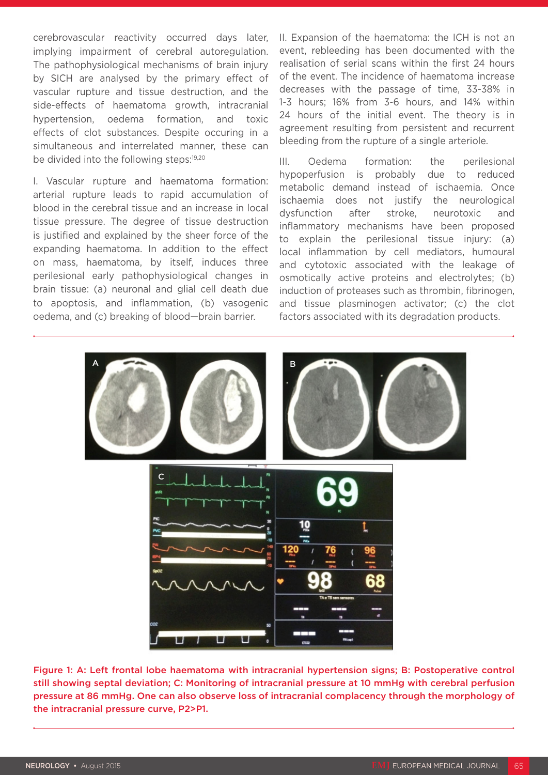cerebrovascular reactivity occurred days later, implying impairment of cerebral autoregulation. The pathophysiological mechanisms of brain injury by SICH are analysed by the primary effect of vascular rupture and tissue destruction, and the side-effects of haematoma growth, intracranial hypertension, oedema formation, and toxic effects of clot substances. Despite occuring in a simultaneous and interrelated manner, these can be divided into the following steps:<sup>19,20</sup>

I. Vascular rupture and haematoma formation: arterial rupture leads to rapid accumulation of blood in the cerebral tissue and an increase in local tissue pressure. The degree of tissue destruction is justified and explained by the sheer force of the expanding haematoma. In addition to the effect on mass, haematoma, by itself, induces three perilesional early pathophysiological changes in brain tissue: (a) neuronal and glial cell death due to apoptosis, and inflammation, (b) vasogenic oedema, and (c) breaking of blood—brain barrier.

II. Expansion of the haematoma: the ICH is not an event, rebleeding has been documented with the realisation of serial scans within the first 24 hours of the event. The incidence of haematoma increase decreases with the passage of time, 33-38% in 1-3 hours; 16% from 3-6 hours, and 14% within 24 hours of the initial event. The theory is in agreement resulting from persistent and recurrent bleeding from the rupture of a single arteriole.

III. Oedema formation: the perilesional hypoperfusion is probably due to reduced metabolic demand instead of ischaemia. Once ischaemia does not justify the neurological dysfunction after stroke, neurotoxic and inflammatory mechanisms have been proposed to explain the perilesional tissue injury: (a) local inflammation by cell mediators, humoural and cytotoxic associated with the leakage of osmotically active proteins and electrolytes; (b) induction of proteases such as thrombin, fibrinogen, and tissue plasminogen activator; (c) the clot factors associated with its degradation products.



Figure 1: A: Left frontal lobe haematoma with intracranial hypertension signs; B: Postoperative control still showing septal deviation; C: Monitoring of intracranial pressure at 10 mmHg with cerebral perfusion pressure at 86 mmHg. One can also observe loss of intracranial complacency through the morphology of the intracranial pressure curve, P2>P1.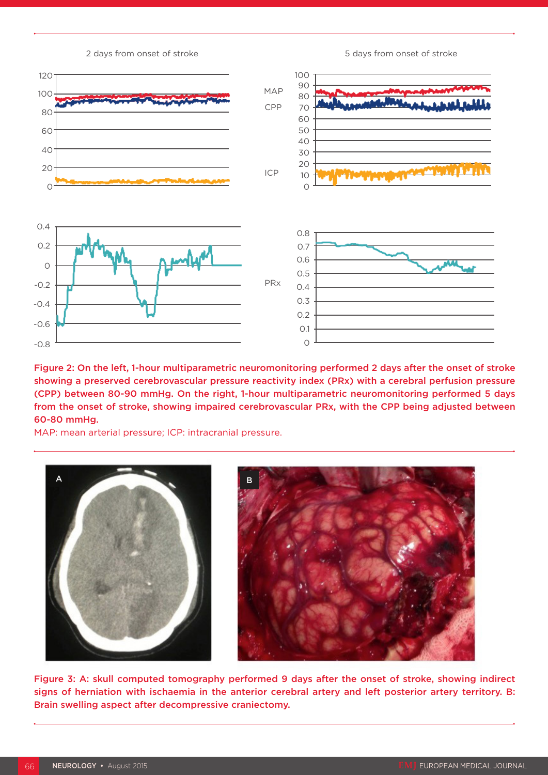120 100 80 60 40 20  $\circ$ 100 90 80 70 60 50 40 30 20 10  $\overline{O}$ 0.4 0.2  $\circ$ -0.2 -0.4 -0.6 -0.8 0.8 0.7 0.6 0.5 0.4 0.3 0.2 0.1  $\cap$ MAP CPP ICP PRx

2 days from onset of stroke 5 days from onset of stroke 5 days from onset of stroke

Figure 2: On the left, 1-hour multiparametric neuromonitoring performed 2 days after the onset of stroke showing a preserved cerebrovascular pressure reactivity index (PRx) with a cerebral perfusion pressure (CPP) between 80-90 mmHg. On the right, 1-hour multiparametric neuromonitoring performed 5 days from the onset of stroke, showing impaired cerebrovascular PRx, with the CPP being adjusted between 60-80 mmHg.

MAP: mean arterial pressure; ICP: intracranial pressure.



Figure 3: A: skull computed tomography performed 9 days after the onset of stroke, showing indirect signs of herniation with ischaemia in the anterior cerebral artery and left posterior artery territory. B: Brain swelling aspect after decompressive craniectomy.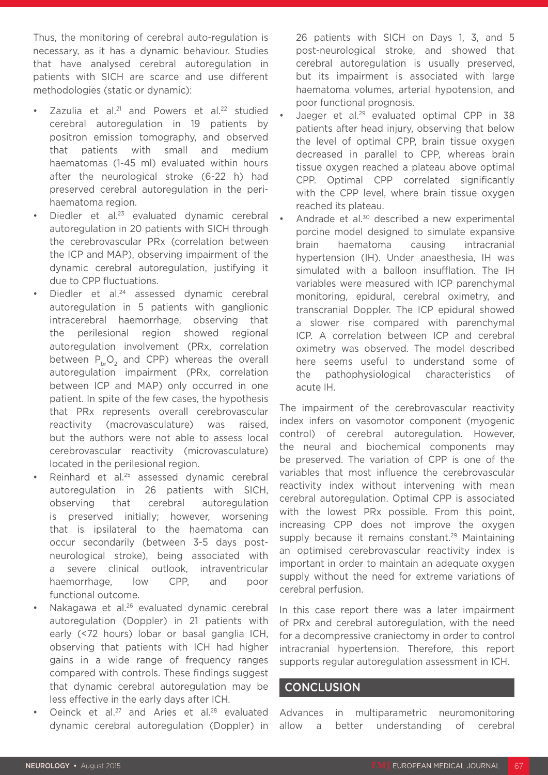Thus, the monitoring of cerebral auto-regulation is necessary, as it has a dynamic behaviour. Studies that have analysed cerebral autoregulation in patients with SICH are scarce and use different methodologies (static or dynamic):

- Zazulia et al.<sup>21</sup> and Powers et al.<sup>22</sup> studied cerebral autoregulation in 19 patients by positron emission tomography, and observed that patients with small and medium haematomas (1-45 ml) evaluated within hours after the neurological stroke (6-22 h) had preserved cerebral autoregulation in the perihaematoma region.
- Diedler et al.<sup>23</sup> evaluated dynamic cerebral autoregulation in 20 patients with SICH through the cerebrovascular PRx (correlation between the ICP and MAP), observing impairment of the dynamic cerebral autoregulation, justifying it due to CPP fluctuations.
- Diedler et al.<sup>24</sup> assessed dynamic cerebral autoregulation in 5 patients with ganglionic intracerebral haemorrhage, observing that the perilesional region showed regional autoregulation involvement (PRx, correlation between  $P_bO_2$  and CPP) whereas the overall autoregulation impairment (PRx, correlation between ICP and MAP) only occurred in one patient. In spite of the few cases, the hypothesis that PRx represents overall cerebrovascular reactivity (macrovasculature) was raised, but the authors were not able to assess local cerebrovascular reactivity (microvasculature) located in the perilesional region.
- Reinhard et al.<sup>25</sup> assessed dynamic cerebral autoregulation in 26 patients with SICH, observing that cerebral autoregulation is preserved initially; however, worsening that is ipsilateral to the haematoma can occur secondarily (between 3-5 days postneurological stroke), being associated with a severe clinical outlook, intraventricular haemorrhage, low CPP, and poor functional outcome.
- Nakagawa et al.<sup>26</sup> evaluated dynamic cerebral autoregulation (Doppler) in 21 patients with early (<72 hours) lobar or basal ganglia ICH, observing that patients with ICH had higher gains in a wide range of frequency ranges compared with controls. These findings suggest that dynamic cerebral autoregulation may be less effective in the early days after ICH.
- Oeinck et al.<sup>27</sup> and Aries et al.<sup>28</sup> evaluated dynamic cerebral autoregulation (Doppler) in

26 patients with SICH on Days 1, 3, and 5 post-neurological stroke, and showed that cerebral autoregulation is usually preserved, but its impairment is associated with large haematoma volumes, arterial hypotension, and poor functional prognosis.

- Jaeger et al.<sup>29</sup> evaluated optimal CPP in 38 patients after head injury, observing that below the level of optimal CPP, brain tissue oxygen decreased in parallel to CPP, whereas brain tissue oxygen reached a plateau above optimal CPP. Optimal CPP correlated significantly with the CPP level, where brain tissue oxygen reached its plateau.
- Andrade et al.<sup>30</sup> described a new experimental porcine model designed to simulate expansive brain haematoma causing intracranial hypertension (IH). Under anaesthesia, IH was simulated with a balloon insufflation. The IH variables were measured with ICP parenchymal monitoring, epidural, cerebral oximetry, and transcranial Doppler. The ICP epidural showed a slower rise compared with parenchymal ICP. A correlation between ICP and cerebral oximetry was observed. The model described here seems useful to understand some of the pathophysiological characteristics of acute IH.

The impairment of the cerebrovascular reactivity index infers on vasomotor component (myogenic control) of cerebral autoregulation. However, the neural and biochemical components may be preserved. The variation of CPP is one of the variables that most influence the cerebrovascular reactivity index without intervening with mean cerebral autoregulation. Optimal CPP is associated with the lowest PRx possible. From this point, increasing CPP does not improve the oxygen supply because it remains constant.<sup>29</sup> Maintaining an optimised cerebrovascular reactivity index is important in order to maintain an adequate oxygen supply without the need for extreme variations of cerebral perfusion.

In this case report there was a later impairment of PRx and cerebral autoregulation, with the need for a decompressive craniectomy in order to control intracranial hypertension. Therefore, this report supports regular autoregulation assessment in ICH.

### **CONCLUSION**

Advances in multiparametric neuromonitoring allow a better understanding of cerebral